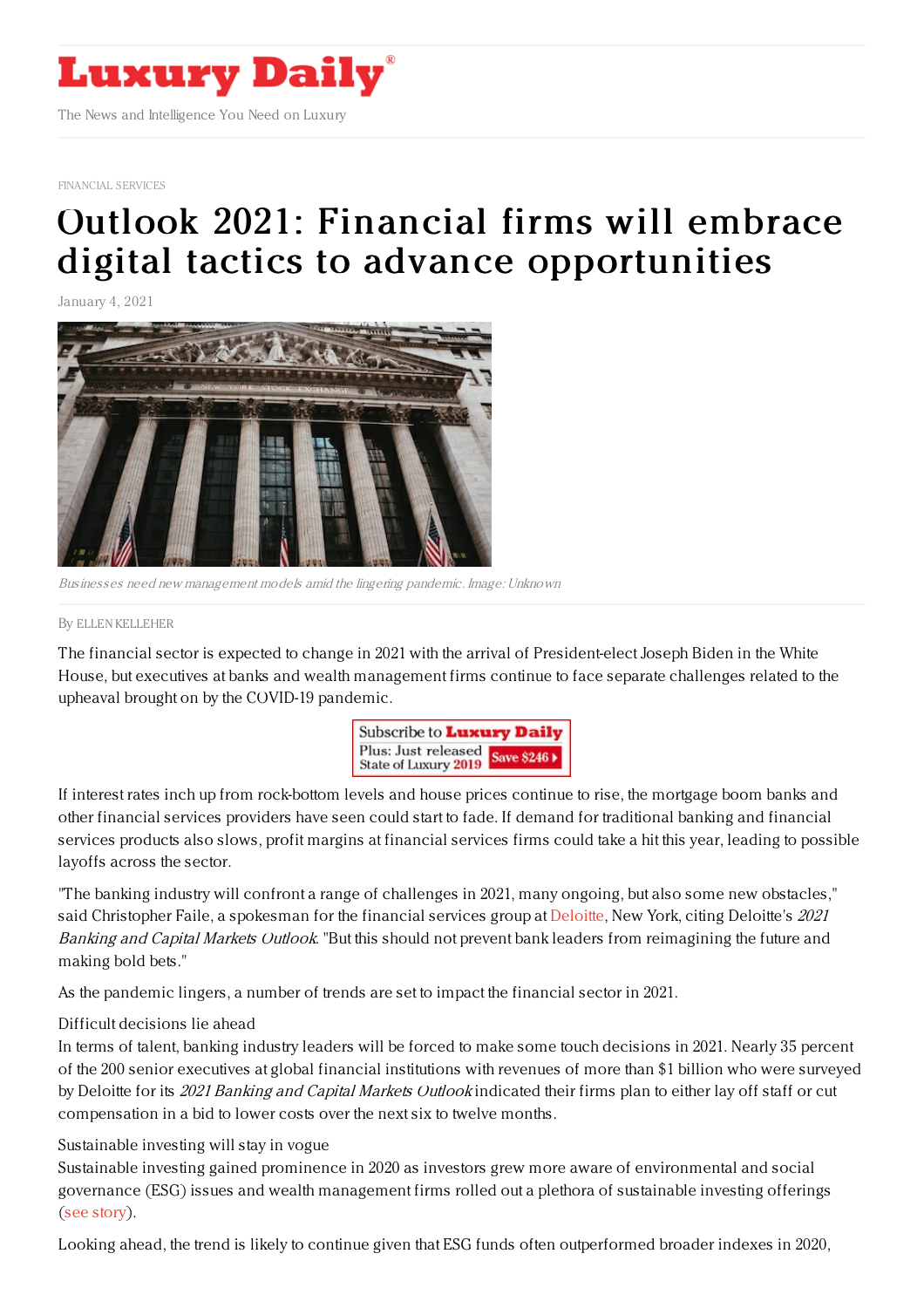

[FINANCIAL](https://www.luxurydaily.com/category/sectors/financial-services/) SERVICES

# Outlook 2021: Financial firms will embrace digital tactics to advance [opportunities](https://www.luxurydaily.com/outlook-2021-financial-firms-embrace-digital-tactics-to-advance-opportunities/)

January 4, 2021



Businesses need new management models amid the lingering pandemic. Image: Unknown

#### By ELLEN [KELLEHER](file:///author/ellen-kelleher)

The financial sector is expected to change in 2021 with the arrival of President-elect Joseph Biden in the White House, but executives at banks and wealth management firms continue to face separate challenges related to the upheaval brought on by the COVID-19 pandemic.



If interest rates inch up from rock-bottom levels and house prices continue to rise, the mortgage boom banks and other financial services providers have seen could start to fade. If demand for traditional banking and financial services products also slows, profit margins at financial services firms could take a hit this year, leading to possible layoffs across the sector.

"The banking industry will confront a range of challenges in 2021, many ongoing, but also some new obstacles," said Christopher Faile, a spokesman for the financial services group at [Deloitte](http://www.deloitte.com), New York, citing Deloitte's 2021 Banking and Capital Markets Outlook. "But this should not prevent bank leaders from reimagining the future and making bold bets."

As the pandemic lingers, a number of trends are set to impact the financial sector in 2021.

#### Difficult decisions lie ahead

In terms of talent, banking industry leaders will be forced to make some touch decisions in 2021. Nearly 35 percent of the 200 senior executives at global financial institutions with revenues of more than \$1 billion who were surveyed by Deloitte for its 2021 Banking and Capital Markets Outlook indicated their firms plan to either lay off staff or cut compensation in a bid to lower costs over the next six to twelve months.

#### Sustainable investing will stay in vogue

Sustainable investing gained prominence in 2020 as investors grew more aware of environmental and social governance (ESG) issues and wealth management firms rolled out a plethora of sustainable investing offerings (see [story](https://www.luxurydaily.com/global-wealthy-begin-shift-to-sustainable-investing-with-pandemic-overhang/)).

Looking ahead, the trend is likely to continue given that ESG funds often outperformed broader indexes in 2020,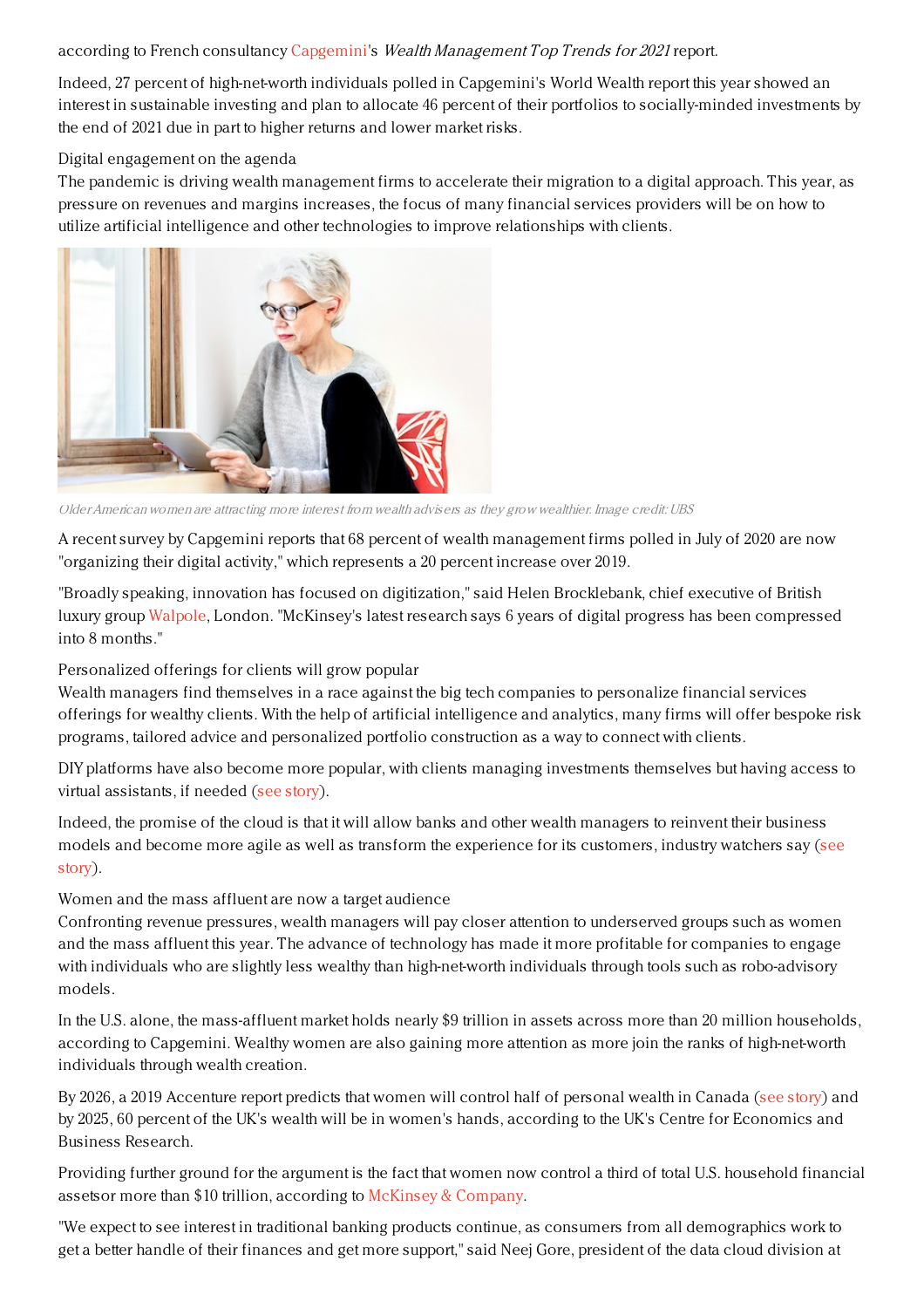### according to French consultancy [Capgemini](https://www.capgemini.com/us-en/)'s Wealth Management Top Trends for 2021 report.

Indeed, 27 percent of high-net-worth individuals polled in Capgemini's World Wealth report this year showed an interest in sustainable investing and plan to allocate 46 percent of their portfolios to socially-minded investments by the end of 2021 due in part to higher returns and lower market risks.

### Digital engagement on the agenda

The pandemic is driving wealth management firms to accelerate their migration to a digital approach. This year, as pressure on revenues and margins increases, the focus of many financial services providers will be on how to utilize artificial intelligence and other technologies to improve relationships with clients.



OlderAmerican women are attracting more interest from wealth advisers as they grow wealthier. Image credit: UBS

A recent survey by Capgemini reports that 68 percent of wealth management firms polled in July of 2020 are now "organizing their digital activity," which represents a 20 percent increase over 2019.

"Broadly speaking, innovation has focused on digitization," said Helen Brocklebank, chief executive of British luxury group [Walpole](https://www.thewalpole.co.uk/), London. "McKinsey's latest research says 6 years of digital progress has been compressed into 8 months."

# Personalized offerings for clients will grow popular

Wealth managers find themselves in a race against the big tech companies to personalize financial services offerings for wealthy clients. With the help of artificial intelligence and analytics, many firms will offer bespoke risk programs, tailored advice and personalized portfolio construction as a way to connect with clients.

DIY platforms have also become more popular, with clients managing investments themselves but having access to virtual assistants, if needed (see [story](https://www.luxurydaily.com/wealth-management-firms-have-to-rethink-operations-in-modern-age/)).

Indeed, the promise of the cloud is that it will allow banks and other wealth managers to reinvent their business models and become more agile as well as transform the [experience](https://www.luxurydaily.com/euromoney-strikes-14-5m-with-wealthengine/) for its customers, industry watchers say (see story).

# Women and the mass affluent are now a target audience

Confronting revenue pressures, wealth managers will pay closer attention to underserved groups such as women and the mass affluent this year. The advance of technology has made it more profitable for companies to engage with individuals who are slightly less wealthy than high-net-worth individuals through tools such as robo-advisory models.

In the U.S. alone, the mass-affluent market holds nearly \$9 trillion in assets across more than 20 million households, according to Capgemini. Wealthy women are also gaining more attention as more join the ranks of high-net-worth individuals through wealth creation.

By 2026, a 2019 Accenture report predicts that women will control half of personal wealth in Canada (see [story](https://www.luxurydaily.com/wealth-management-firms-have-to-rethink-operations-in-modern-age/)) and by 2025, 60 percent of the UK's wealth will be in women's hands, according to the UK's Centre for Economics and Business Research.

Providing further ground for the argument is the fact that women now control a third of total U.S. household financial assetsor more than \$10 trillion, according to [McKinsey](https://www.mckinsey.com/) & Company.

"We expect to see interest in traditional banking products continue, as consumers from all demographics work to get a better handle of their finances and get more support," said Neej Gore, president of the data cloud division at